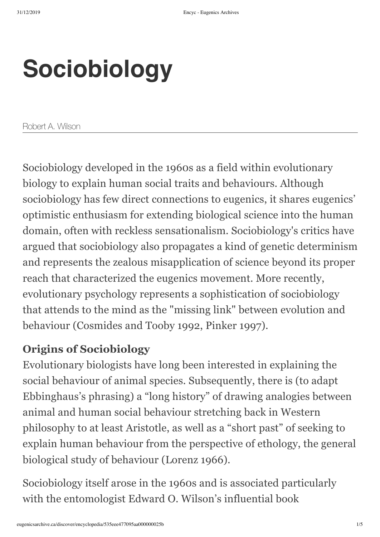# **Sociobiology**

Robert A. Wilson

Sociobiology developed in the 1960s as a field within evolutionary biology to explain human social traits and behaviours. Although sociobiology has few direct connections to eugenics, it shares eugenics' optimistic enthusiasm for extending biological science into the human domain, often with reckless sensationalism. Sociobiology's critics have argued that sociobiology also propagates a kind of genetic determinism and represents the zealous misapplication of science beyond its proper reach that characterized the eugenics movement. More recently, evolutionary psychology represents a sophistication of sociobiology that attends to the mind as the "missing link" between evolution and behaviour (Cosmides and Tooby 1992, Pinker 1997).

### **Origins of Sociobiology**

Evolutionary biologists have long been interested in explaining the social behaviour of animal species. Subsequently, there is (to adapt Ebbinghaus's phrasing) a "long history" of drawing analogies between animal and human social behaviour stretching back in Western philosophy to at least Aristotle, as well as a "short past" of seeking to explain human behaviour from the perspective of ethology, the general biological study of behaviour (Lorenz 1966).

Sociobiology itself arose in the 1960s and is associated particularly with the entomologist Edward O. Wilson's influential book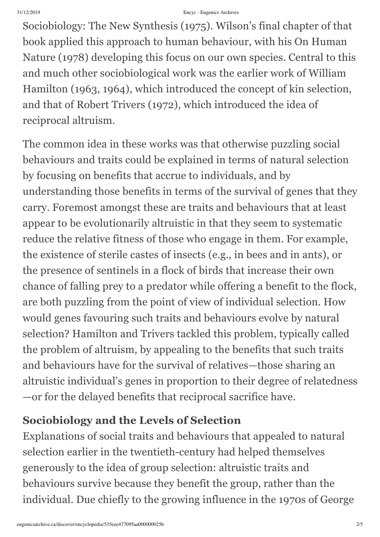Sociobiology: The New Synthesis (1975). Wilson's final chapter of that book applied this approach to human behaviour, with his On Human Nature (1978) developing this focus on our own species. Central to this and much other sociobiological work was the earlier work of William Hamilton (1963, 1964), which introduced the concept of kin selection, and that of Robert Trivers (1972), which introduced the idea of reciprocal altruism.

The common idea in these works was that otherwise puzzling social behaviours and traits could be explained in terms of natural selection by focusing on benefits that accrue to individuals, and by understanding those benefits in terms of the survival of genes that they carry. Foremost amongst these are traits and behaviours that at least appear to be evolutionarily altruistic in that they seem to systematic reduce the relative fitness of those who engage in them. For example, the existence of sterile castes of insects (e.g., in bees and in ants), or the presence of sentinels in a flock of birds that increase their own chance of falling prey to a predator while offering a benefit to the flock, are both puzzling from the point of view of individual selection. How would genes favouring such traits and behaviours evolve by natural selection? Hamilton and Trivers tackled this problem, typically called the problem of altruism, by appealing to the benefits that such traits and behaviours have for the survival of relatives—those sharing an altruistic individual's genes in proportion to their degree of relatedness —or for the delayed benefits that reciprocal sacrifice have.

# **Sociobiology and the Levels of Selection**

Explanations of social traits and behaviours that appealed to natural selection earlier in the twentieth-century had helped themselves generously to the idea of group selection: altruistic traits and behaviours survive because they benefit the group, rather than the individual. Due chiefly to the growing influence in the 1970s of George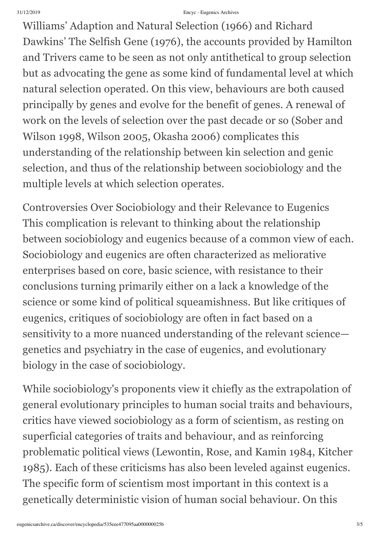Williams' Adaption and Natural Selection (1966) and Richard Dawkins' The Selfish Gene (1976), the accounts provided by Hamilton and Trivers came to be seen as not only antithetical to group selection but as advocating the gene as some kind of fundamental level at which natural selection operated. On this view, behaviours are both caused principally by genes and evolve for the benefit of genes. A renewal of work on the levels of selection over the past decade or so (Sober and Wilson 1998, Wilson 2005, Okasha 2006) complicates this understanding of the relationship between kin selection and genic selection, and thus of the relationship between sociobiology and the multiple levels at which selection operates.

Controversies Over Sociobiology and their Relevance to Eugenics This complication is relevant to thinking about the relationship between sociobiology and eugenics because of a common view of each. Sociobiology and eugenics are often characterized as meliorative enterprises based on core, basic science, with resistance to their conclusions turning primarily either on a lack a knowledge of the science or some kind of political squeamishness. But like critiques of eugenics, critiques of sociobiology are often in fact based on a sensitivity to a more nuanced understanding of the relevant science genetics and psychiatry in the case of eugenics, and evolutionary biology in the case of sociobiology.

While sociobiology's proponents view it chiefly as the extrapolation of general evolutionary principles to human social traits and behaviours, critics have viewed sociobiology as a form of scientism, as resting on superficial categories of traits and behaviour, and as reinforcing problematic political views (Lewontin, Rose, and Kamin 1984, Kitcher 1985). Each of these criticisms has also been leveled against eugenics. The specific form of scientism most important in this context is a genetically deterministic vision of human social behaviour. On this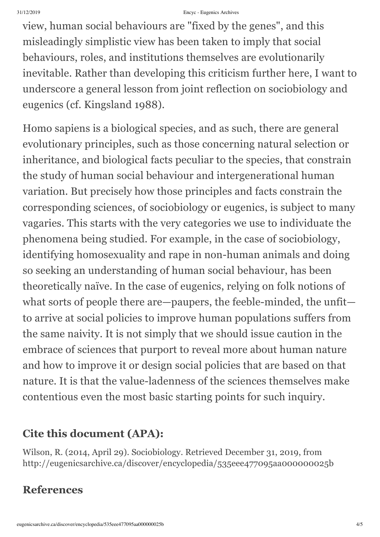view, human social behaviours are "fixed by the genes" , and this misleadingly simplistic view has been taken to imply that social behaviours, roles, and institutions themselves are evolutionarily inevitable. Rather than developing this criticism further here, I want to underscore a general lesson from joint reflection on sociobiology and eugenics (cf. Kingsland 1988).

Homo sapiens is a biological species, and as such, there are general evolutionary principles, such as those concerning natural selection or inheritance, and biological facts peculiar to the species, that constrain the study of human social behaviour and intergenerational human variation. But precisely how those principles and facts constrain the corresponding sciences, of sociobiology or eugenics, is subject to many vagaries. This starts with the very categories we use to individuate the phenomena being studied. For example, in the case of sociobiology, identifying homosexuality and rape in non-human animals and doing so seeking an understanding of human social behaviour, has been theoretically naïve. In the case of eugenics, relying on folk notions of what sorts of people there are—paupers, the feeble-minded, the unfit to arrive at social policies to improve human populations suffers from the same naivity. It is not simply that we should issue caution in the embrace of sciences that purport to reveal more about human nature and how to improve it or design social policies that are based on that nature. It is that the value-ladenness of the sciences themselves make contentious even the most basic starting points for such inquiry.

## **Cite this document (APA):**

Wilson, R. (2014, April 29). Sociobiology. Retrieved December 31, 2019, from http://eugenicsarchive.ca/discover/encyclopedia/535eee477095aa000000025b

# **References**